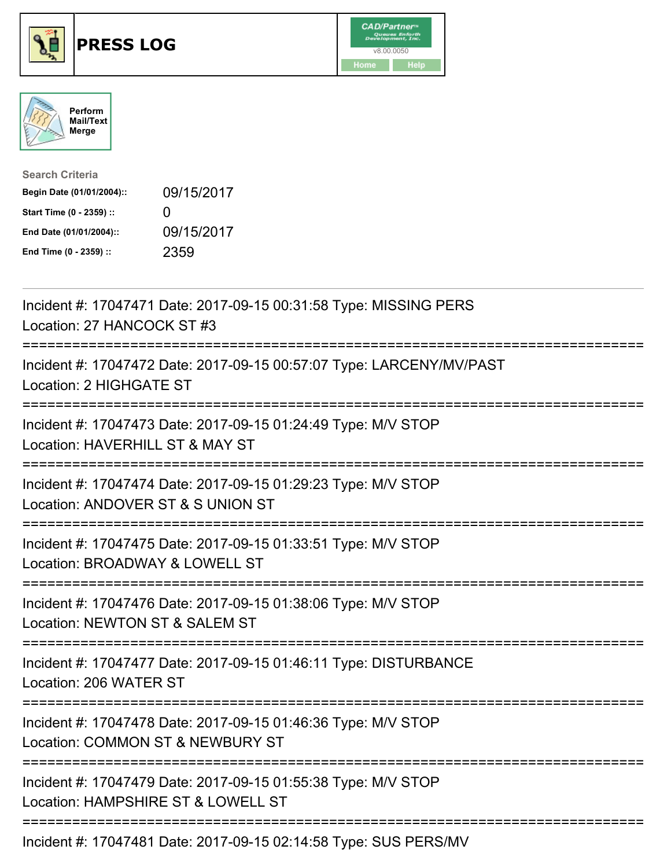





| <b>Search Criteria</b>    |              |
|---------------------------|--------------|
| Begin Date (01/01/2004):: | 09/15/2017   |
| Start Time (0 - 2359) ::  | $\mathbf{U}$ |
| End Date (01/01/2004)::   | 09/15/2017   |
| End Time (0 - 2359) ::    | 2359         |

| Incident #: 17047471 Date: 2017-09-15 00:31:58 Type: MISSING PERS<br>Location: 27 HANCOCK ST #3                                  |
|----------------------------------------------------------------------------------------------------------------------------------|
| Incident #: 17047472 Date: 2017-09-15 00:57:07 Type: LARCENY/MV/PAST<br>Location: 2 HIGHGATE ST                                  |
| Incident #: 17047473 Date: 2017-09-15 01:24:49 Type: M/V STOP<br>Location: HAVERHILL ST & MAY ST                                 |
| Incident #: 17047474 Date: 2017-09-15 01:29:23 Type: M/V STOP<br>Location: ANDOVER ST & S UNION ST<br>-------------------------- |
| Incident #: 17047475 Date: 2017-09-15 01:33:51 Type: M/V STOP<br>Location: BROADWAY & LOWELL ST                                  |
| Incident #: 17047476 Date: 2017-09-15 01:38:06 Type: M/V STOP<br>Location: NEWTON ST & SALEM ST                                  |
| Incident #: 17047477 Date: 2017-09-15 01:46:11 Type: DISTURBANCE<br>Location: 206 WATER ST                                       |
| Incident #: 17047478 Date: 2017-09-15 01:46:36 Type: M/V STOP<br>Location: COMMON ST & NEWBURY ST<br>-------------------------   |
| Incident #: 17047479 Date: 2017-09-15 01:55:38 Type: M/V STOP<br>Location: HAMPSHIRE ST & LOWELL ST                              |
| Incident #: 17047481 Date: 2017-09-15 02:14:58 Type: SUS PERS/MV                                                                 |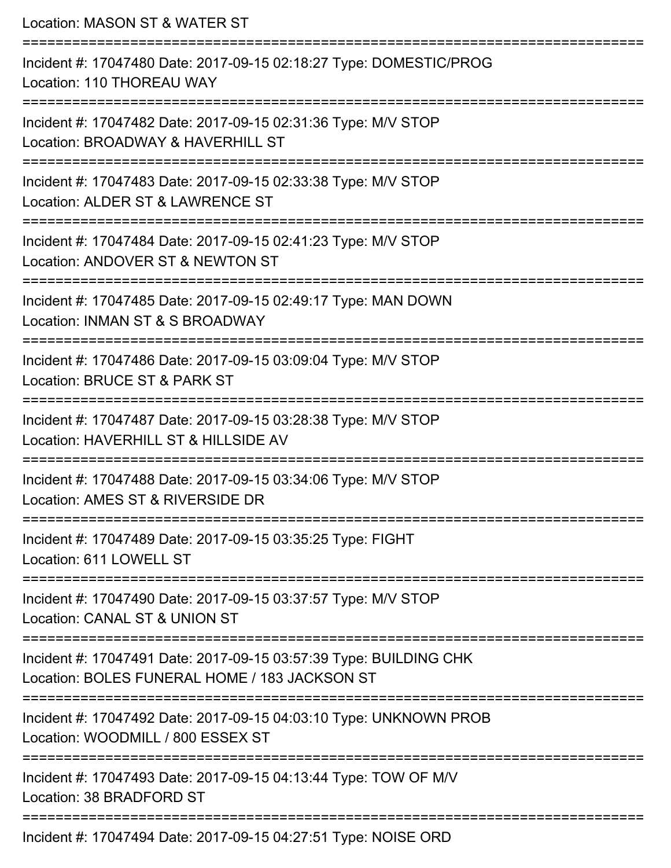| Location: MASON ST & WATER ST<br>====================                                                                           |
|---------------------------------------------------------------------------------------------------------------------------------|
| Incident #: 17047480 Date: 2017-09-15 02:18:27 Type: DOMESTIC/PROG<br>Location: 110 THOREAU WAY                                 |
| Incident #: 17047482 Date: 2017-09-15 02:31:36 Type: M/V STOP<br>Location: BROADWAY & HAVERHILL ST                              |
| Incident #: 17047483 Date: 2017-09-15 02:33:38 Type: M/V STOP<br>Location: ALDER ST & LAWRENCE ST                               |
| Incident #: 17047484 Date: 2017-09-15 02:41:23 Type: M/V STOP<br>Location: ANDOVER ST & NEWTON ST                               |
| Incident #: 17047485 Date: 2017-09-15 02:49:17 Type: MAN DOWN<br>Location: INMAN ST & S BROADWAY<br>--------------------------- |
| Incident #: 17047486 Date: 2017-09-15 03:09:04 Type: M/V STOP<br>Location: BRUCE ST & PARK ST                                   |
| Incident #: 17047487 Date: 2017-09-15 03:28:38 Type: M/V STOP<br>Location: HAVERHILL ST & HILLSIDE AV                           |
| Incident #: 17047488 Date: 2017-09-15 03:34:06 Type: M/V STOP<br>Location: AMES ST & RIVERSIDE DR                               |
| Incident #: 17047489 Date: 2017-09-15 03:35:25 Type: FIGHT<br>Location: 611 LOWELL ST                                           |
| Incident #: 17047490 Date: 2017-09-15 03:37:57 Type: M/V STOP<br>Location: CANAL ST & UNION ST                                  |
| Incident #: 17047491 Date: 2017-09-15 03:57:39 Type: BUILDING CHK<br>Location: BOLES FUNERAL HOME / 183 JACKSON ST              |
| Incident #: 17047492 Date: 2017-09-15 04:03:10 Type: UNKNOWN PROB<br>Location: WOODMILL / 800 ESSEX ST                          |
| Incident #: 17047493 Date: 2017-09-15 04:13:44 Type: TOW OF M/V<br>Location: 38 BRADFORD ST                                     |
| Incident #: 17047494 Date: 2017-09-15 04:27:51 Type: NOISE ORD                                                                  |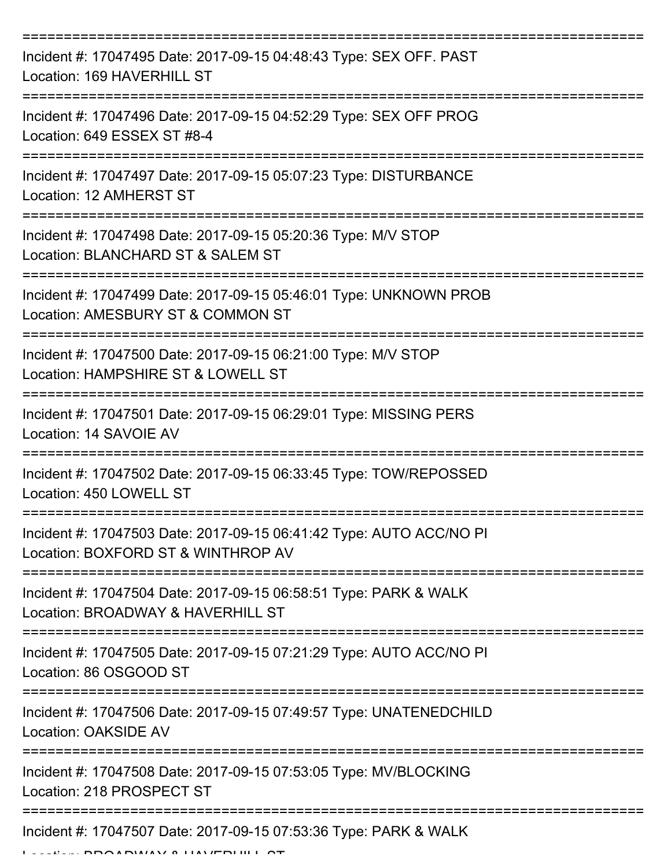| Incident #: 17047495 Date: 2017-09-15 04:48:43 Type: SEX OFF. PAST<br>Location: 169 HAVERHILL ST          |
|-----------------------------------------------------------------------------------------------------------|
| Incident #: 17047496 Date: 2017-09-15 04:52:29 Type: SEX OFF PROG<br>Location: 649 ESSEX ST #8-4          |
| Incident #: 17047497 Date: 2017-09-15 05:07:23 Type: DISTURBANCE<br>Location: 12 AMHERST ST               |
| Incident #: 17047498 Date: 2017-09-15 05:20:36 Type: M/V STOP<br>Location: BLANCHARD ST & SALEM ST        |
| Incident #: 17047499 Date: 2017-09-15 05:46:01 Type: UNKNOWN PROB<br>Location: AMESBURY ST & COMMON ST    |
| Incident #: 17047500 Date: 2017-09-15 06:21:00 Type: M/V STOP<br>Location: HAMPSHIRE ST & LOWELL ST       |
| Incident #: 17047501 Date: 2017-09-15 06:29:01 Type: MISSING PERS<br>Location: 14 SAVOIE AV               |
| Incident #: 17047502 Date: 2017-09-15 06:33:45 Type: TOW/REPOSSED<br>Location: 450 LOWELL ST              |
| Incident #: 17047503 Date: 2017-09-15 06:41:42 Type: AUTO ACC/NO PI<br>Location: BOXFORD ST & WINTHROP AV |
| Incident #: 17047504 Date: 2017-09-15 06:58:51 Type: PARK & WALK<br>Location: BROADWAY & HAVERHILL ST     |
| Incident #: 17047505 Date: 2017-09-15 07:21:29 Type: AUTO ACC/NO PI<br>Location: 86 OSGOOD ST             |
| Incident #: 17047506 Date: 2017-09-15 07:49:57 Type: UNATENEDCHILD<br>Location: OAKSIDE AV                |
| Incident #: 17047508 Date: 2017-09-15 07:53:05 Type: MV/BLOCKING<br>Location: 218 PROSPECT ST             |
| Incident #: 17047507 Date: 2017-09-15 07:53:36 Type: PARK & WALK                                          |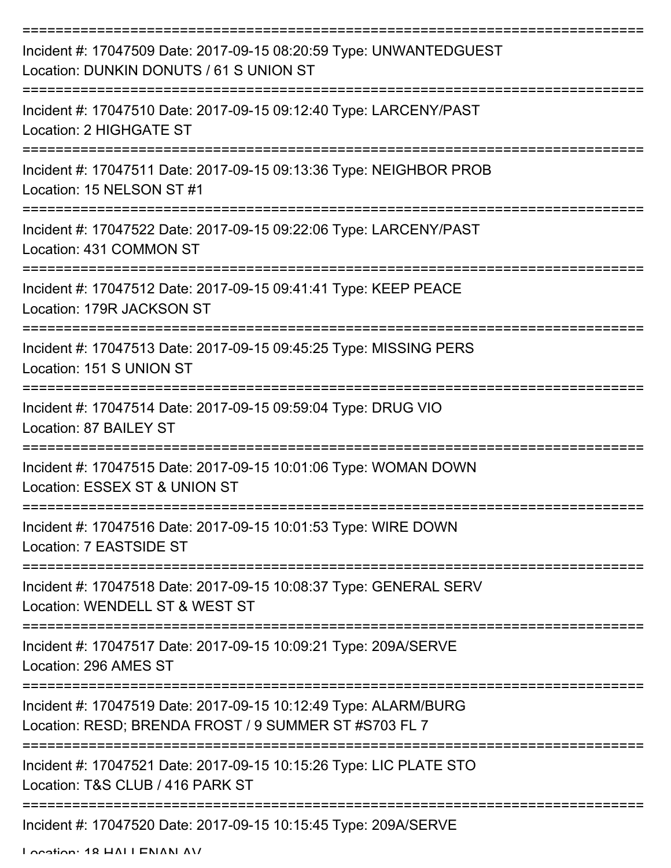| Incident #: 17047509 Date: 2017-09-15 08:20:59 Type: UNWANTEDGUEST<br>Location: DUNKIN DONUTS / 61 S UNION ST            |
|--------------------------------------------------------------------------------------------------------------------------|
| Incident #: 17047510 Date: 2017-09-15 09:12:40 Type: LARCENY/PAST<br>Location: 2 HIGHGATE ST                             |
| Incident #: 17047511 Date: 2017-09-15 09:13:36 Type: NEIGHBOR PROB<br>Location: 15 NELSON ST #1                          |
| Incident #: 17047522 Date: 2017-09-15 09:22:06 Type: LARCENY/PAST<br>Location: 431 COMMON ST                             |
| Incident #: 17047512 Date: 2017-09-15 09:41:41 Type: KEEP PEACE<br>Location: 179R JACKSON ST                             |
| Incident #: 17047513 Date: 2017-09-15 09:45:25 Type: MISSING PERS<br>Location: 151 S UNION ST                            |
| Incident #: 17047514 Date: 2017-09-15 09:59:04 Type: DRUG VIO<br>Location: 87 BAILEY ST                                  |
| Incident #: 17047515 Date: 2017-09-15 10:01:06 Type: WOMAN DOWN<br>Location: ESSEX ST & UNION ST                         |
| Incident #: 17047516 Date: 2017-09-15 10:01:53 Type: WIRE DOWN<br>Location: 7 EASTSIDE ST                                |
| Incident #: 17047518 Date: 2017-09-15 10:08:37 Type: GENERAL SERV<br>Location: WENDELL ST & WEST ST                      |
| Incident #: 17047517 Date: 2017-09-15 10:09:21 Type: 209A/SERVE<br>Location: 296 AMES ST                                 |
| Incident #: 17047519 Date: 2017-09-15 10:12:49 Type: ALARM/BURG<br>Location: RESD; BRENDA FROST / 9 SUMMER ST #S703 FL 7 |
| Incident #: 17047521 Date: 2017-09-15 10:15:26 Type: LIC PLATE STO<br>Location: T&S CLUB / 416 PARK ST                   |
| Incident #: 17047520 Date: 2017-09-15 10:15:45 Type: 209A/SERVE                                                          |

Location: 18 HALLENAN AV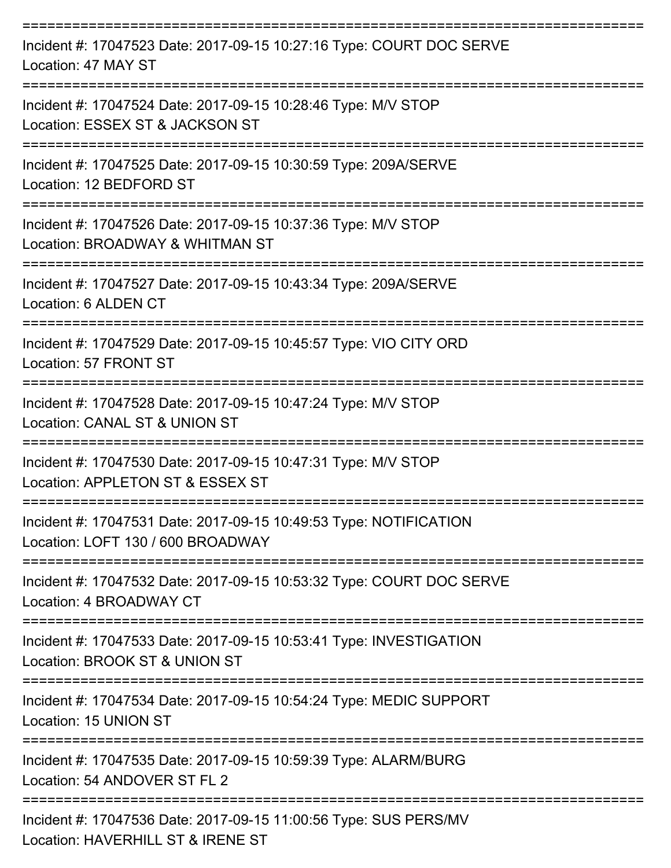| Incident #: 17047523 Date: 2017-09-15 10:27:16 Type: COURT DOC SERVE<br>Location: 47 MAY ST            |
|--------------------------------------------------------------------------------------------------------|
| Incident #: 17047524 Date: 2017-09-15 10:28:46 Type: M/V STOP<br>Location: ESSEX ST & JACKSON ST       |
| Incident #: 17047525 Date: 2017-09-15 10:30:59 Type: 209A/SERVE<br>Location: 12 BEDFORD ST             |
| Incident #: 17047526 Date: 2017-09-15 10:37:36 Type: M/V STOP<br>Location: BROADWAY & WHITMAN ST       |
| Incident #: 17047527 Date: 2017-09-15 10:43:34 Type: 209A/SERVE<br>Location: 6 ALDEN CT                |
| Incident #: 17047529 Date: 2017-09-15 10:45:57 Type: VIO CITY ORD<br>Location: 57 FRONT ST             |
| Incident #: 17047528 Date: 2017-09-15 10:47:24 Type: M/V STOP<br>Location: CANAL ST & UNION ST         |
| Incident #: 17047530 Date: 2017-09-15 10:47:31 Type: M/V STOP<br>Location: APPLETON ST & ESSEX ST      |
| Incident #: 17047531 Date: 2017-09-15 10:49:53 Type: NOTIFICATION<br>Location: LOFT 130 / 600 BROADWAY |
| Incident #: 17047532 Date: 2017-09-15 10:53:32 Type: COURT DOC SERVE<br>Location: 4 BROADWAY CT        |
| Incident #: 17047533 Date: 2017-09-15 10:53:41 Type: INVESTIGATION<br>Location: BROOK ST & UNION ST    |
| Incident #: 17047534 Date: 2017-09-15 10:54:24 Type: MEDIC SUPPORT<br>Location: 15 UNION ST            |
| Incident #: 17047535 Date: 2017-09-15 10:59:39 Type: ALARM/BURG<br>Location: 54 ANDOVER ST FL 2        |
| Incident #: 17047536 Date: 2017-09-15 11:00:56 Type: SUS PERS/MV<br>Location: HAVERHILL ST & IRENE ST  |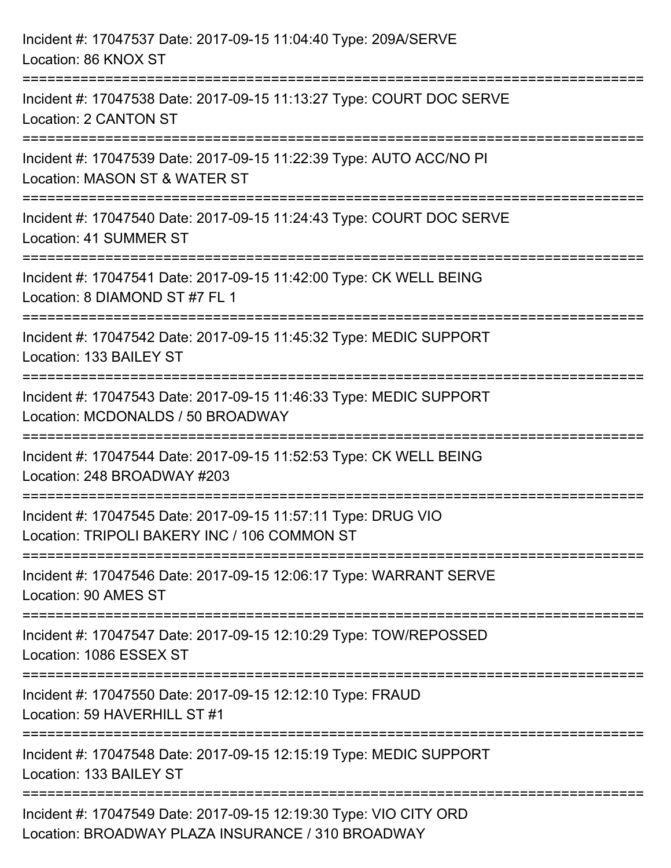| Incident #: 17047537 Date: 2017-09-15 11:04:40 Type: 209A/SERVE<br>Location: 86 KNOX ST                                |
|------------------------------------------------------------------------------------------------------------------------|
| Incident #: 17047538 Date: 2017-09-15 11:13:27 Type: COURT DOC SERVE<br>Location: 2 CANTON ST                          |
| Incident #: 17047539 Date: 2017-09-15 11:22:39 Type: AUTO ACC/NO PI<br>Location: MASON ST & WATER ST                   |
| Incident #: 17047540 Date: 2017-09-15 11:24:43 Type: COURT DOC SERVE<br>Location: 41 SUMMER ST                         |
| Incident #: 17047541 Date: 2017-09-15 11:42:00 Type: CK WELL BEING<br>Location: 8 DIAMOND ST #7 FL 1                   |
| Incident #: 17047542 Date: 2017-09-15 11:45:32 Type: MEDIC SUPPORT<br>Location: 133 BAILEY ST                          |
| Incident #: 17047543 Date: 2017-09-15 11:46:33 Type: MEDIC SUPPORT<br>Location: MCDONALDS / 50 BROADWAY                |
| Incident #: 17047544 Date: 2017-09-15 11:52:53 Type: CK WELL BEING<br>Location: 248 BROADWAY #203                      |
| Incident #: 17047545 Date: 2017-09-15 11:57:11 Type: DRUG VIO<br>Location: TRIPOLI BAKERY INC / 106 COMMON ST          |
| Incident #: 17047546 Date: 2017-09-15 12:06:17 Type: WARRANT SERVE<br>Location: 90 AMES ST                             |
| Incident #: 17047547 Date: 2017-09-15 12:10:29 Type: TOW/REPOSSED<br>Location: 1086 ESSEX ST                           |
| Incident #: 17047550 Date: 2017-09-15 12:12:10 Type: FRAUD<br>Location: 59 HAVERHILL ST #1                             |
| Incident #: 17047548 Date: 2017-09-15 12:15:19 Type: MEDIC SUPPORT<br>Location: 133 BAILEY ST                          |
| Incident #: 17047549 Date: 2017-09-15 12:19:30 Type: VIO CITY ORD<br>Location: BROADWAY PLAZA INSURANCE / 310 BROADWAY |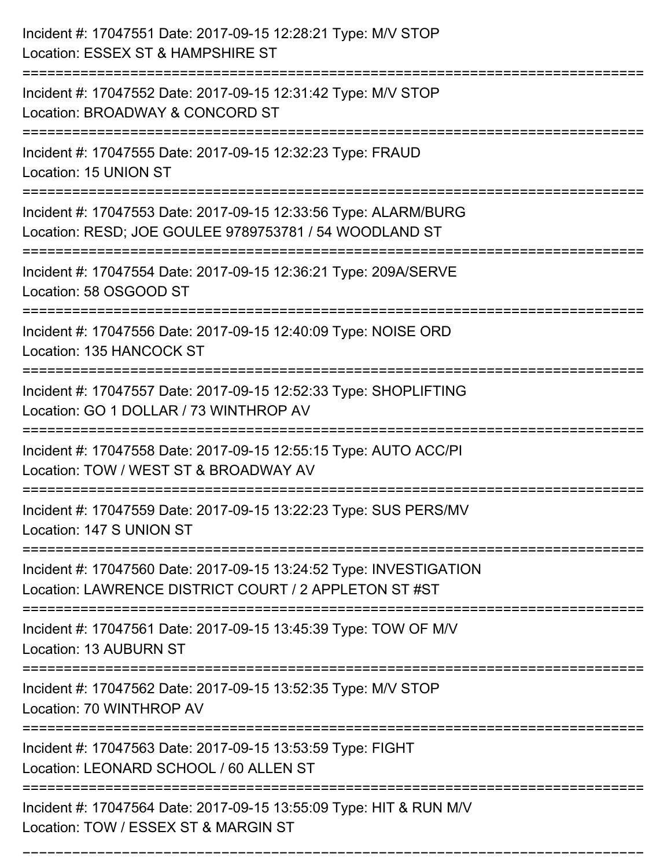| Incident #: 17047551 Date: 2017-09-15 12:28:21 Type: M/V STOP<br>Location: ESSEX ST & HAMPSHIRE ST<br>:====================  |
|------------------------------------------------------------------------------------------------------------------------------|
| Incident #: 17047552 Date: 2017-09-15 12:31:42 Type: M/V STOP<br>Location: BROADWAY & CONCORD ST                             |
| Incident #: 17047555 Date: 2017-09-15 12:32:23 Type: FRAUD<br>Location: 15 UNION ST                                          |
| Incident #: 17047553 Date: 2017-09-15 12:33:56 Type: ALARM/BURG<br>Location: RESD; JOE GOULEE 9789753781 / 54 WOODLAND ST    |
| Incident #: 17047554 Date: 2017-09-15 12:36:21 Type: 209A/SERVE<br>Location: 58 OSGOOD ST<br>=============================== |
| Incident #: 17047556 Date: 2017-09-15 12:40:09 Type: NOISE ORD<br>Location: 135 HANCOCK ST                                   |
| Incident #: 17047557 Date: 2017-09-15 12:52:33 Type: SHOPLIFTING<br>Location: GO 1 DOLLAR / 73 WINTHROP AV                   |
| Incident #: 17047558 Date: 2017-09-15 12:55:15 Type: AUTO ACC/PI<br>Location: TOW / WEST ST & BROADWAY AV                    |
| Incident #: 17047559 Date: 2017-09-15 13:22:23 Type: SUS PERS/MV<br>Location: 147 S UNION ST                                 |
| Incident #: 17047560 Date: 2017-09-15 13:24:52 Type: INVESTIGATION<br>Location: LAWRENCE DISTRICT COURT / 2 APPLETON ST #ST  |
| Incident #: 17047561 Date: 2017-09-15 13:45:39 Type: TOW OF M/V<br>Location: 13 AUBURN ST                                    |
| Incident #: 17047562 Date: 2017-09-15 13:52:35 Type: M/V STOP<br>Location: 70 WINTHROP AV                                    |
| Incident #: 17047563 Date: 2017-09-15 13:53:59 Type: FIGHT<br>Location: LEONARD SCHOOL / 60 ALLEN ST                         |
| Incident #: 17047564 Date: 2017-09-15 13:55:09 Type: HIT & RUN M/V<br>Location: TOW / ESSEX ST & MARGIN ST                   |

===========================================================================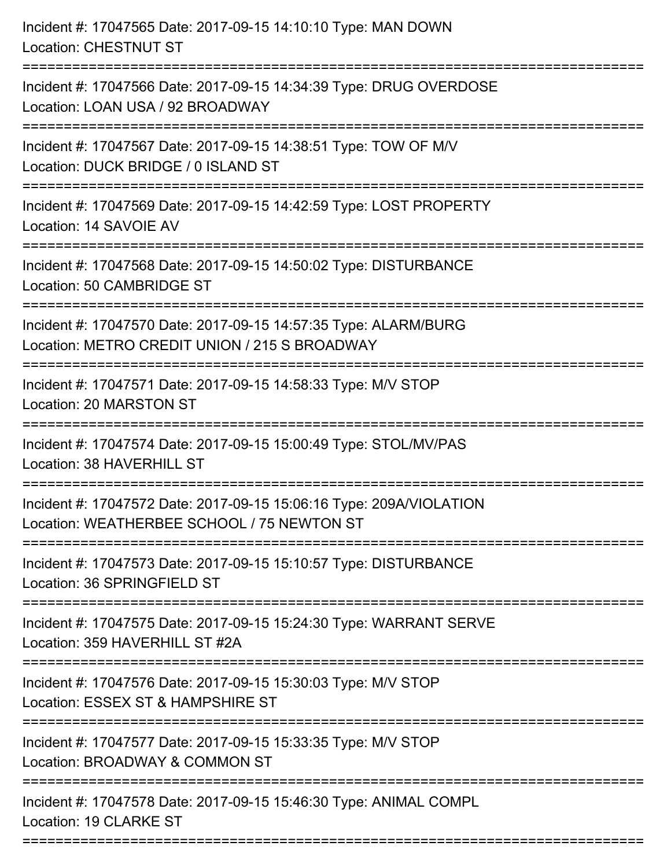| ==========================<br>============================= | Incident #: 17047565 Date: 2017-09-15 14:10:10 Type: MAN DOWN<br><b>Location: CHESTNUT ST</b>                     |
|-------------------------------------------------------------|-------------------------------------------------------------------------------------------------------------------|
|                                                             | Incident #: 17047566 Date: 2017-09-15 14:34:39 Type: DRUG OVERDOSE<br>Location: LOAN USA / 92 BROADWAY            |
|                                                             | Incident #: 17047567 Date: 2017-09-15 14:38:51 Type: TOW OF M/V<br>Location: DUCK BRIDGE / 0 ISLAND ST            |
|                                                             | Incident #: 17047569 Date: 2017-09-15 14:42:59 Type: LOST PROPERTY<br>Location: 14 SAVOIE AV                      |
|                                                             | Incident #: 17047568 Date: 2017-09-15 14:50:02 Type: DISTURBANCE<br>Location: 50 CAMBRIDGE ST                     |
|                                                             | Incident #: 17047570 Date: 2017-09-15 14:57:35 Type: ALARM/BURG<br>Location: METRO CREDIT UNION / 215 S BROADWAY  |
|                                                             | Incident #: 17047571 Date: 2017-09-15 14:58:33 Type: M/V STOP<br>Location: 20 MARSTON ST                          |
|                                                             | Incident #: 17047574 Date: 2017-09-15 15:00:49 Type: STOL/MV/PAS<br>Location: 38 HAVERHILL ST                     |
|                                                             | Incident #: 17047572 Date: 2017-09-15 15:06:16 Type: 209A/VIOLATION<br>Location: WEATHERBEE SCHOOL / 75 NEWTON ST |
|                                                             | Incident #: 17047573 Date: 2017-09-15 15:10:57 Type: DISTURBANCE<br>Location: 36 SPRINGFIELD ST                   |
|                                                             | Incident #: 17047575 Date: 2017-09-15 15:24:30 Type: WARRANT SERVE<br>Location: 359 HAVERHILL ST #2A              |
|                                                             | Incident #: 17047576 Date: 2017-09-15 15:30:03 Type: M/V STOP<br>Location: ESSEX ST & HAMPSHIRE ST                |
|                                                             | Incident #: 17047577 Date: 2017-09-15 15:33:35 Type: M/V STOP<br>Location: BROADWAY & COMMON ST                   |
|                                                             | Incident #: 17047578 Date: 2017-09-15 15:46:30 Type: ANIMAL COMPL<br>Location: 19 CLARKE ST                       |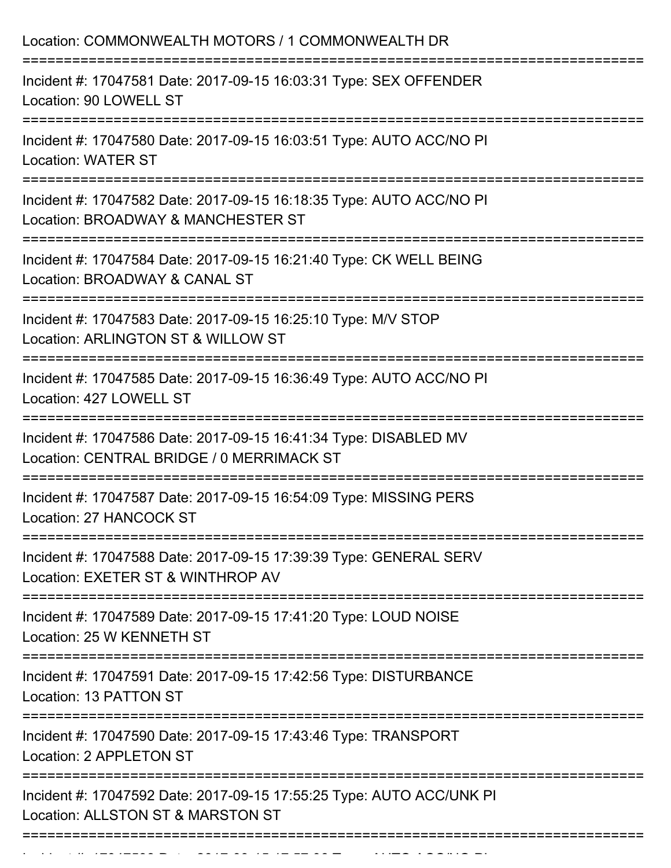| Location: COMMONWEALTH MOTORS / 1 COMMONWEALTH DR                                                                                    |
|--------------------------------------------------------------------------------------------------------------------------------------|
| Incident #: 17047581 Date: 2017-09-15 16:03:31 Type: SEX OFFENDER<br>Location: 90 LOWELL ST                                          |
| Incident #: 17047580 Date: 2017-09-15 16:03:51 Type: AUTO ACC/NO PI<br><b>Location: WATER ST</b>                                     |
| Incident #: 17047582 Date: 2017-09-15 16:18:35 Type: AUTO ACC/NO PI<br>Location: BROADWAY & MANCHESTER ST<br>:====================== |
| Incident #: 17047584 Date: 2017-09-15 16:21:40 Type: CK WELL BEING<br>Location: BROADWAY & CANAL ST                                  |
| Incident #: 17047583 Date: 2017-09-15 16:25:10 Type: M/V STOP<br>Location: ARLINGTON ST & WILLOW ST                                  |
| Incident #: 17047585 Date: 2017-09-15 16:36:49 Type: AUTO ACC/NO PI<br>Location: 427 LOWELL ST                                       |
| Incident #: 17047586 Date: 2017-09-15 16:41:34 Type: DISABLED MV<br>Location: CENTRAL BRIDGE / 0 MERRIMACK ST                        |
| Incident #: 17047587 Date: 2017-09-15 16:54:09 Type: MISSING PERS<br>Location: 27 HANCOCK ST                                         |
| Incident #: 17047588 Date: 2017-09-15 17:39:39 Type: GENERAL SERV<br>Location: EXETER ST & WINTHROP AV                               |
| Incident #: 17047589 Date: 2017-09-15 17:41:20 Type: LOUD NOISE<br>Location: 25 W KENNETH ST                                         |
| Incident #: 17047591 Date: 2017-09-15 17:42:56 Type: DISTURBANCE<br>Location: 13 PATTON ST                                           |
| Incident #: 17047590 Date: 2017-09-15 17:43:46 Type: TRANSPORT<br>Location: 2 APPLETON ST                                            |
| Incident #: 17047592 Date: 2017-09-15 17:55:25 Type: AUTO ACC/UNK PI<br>Location: ALLSTON ST & MARSTON ST                            |
|                                                                                                                                      |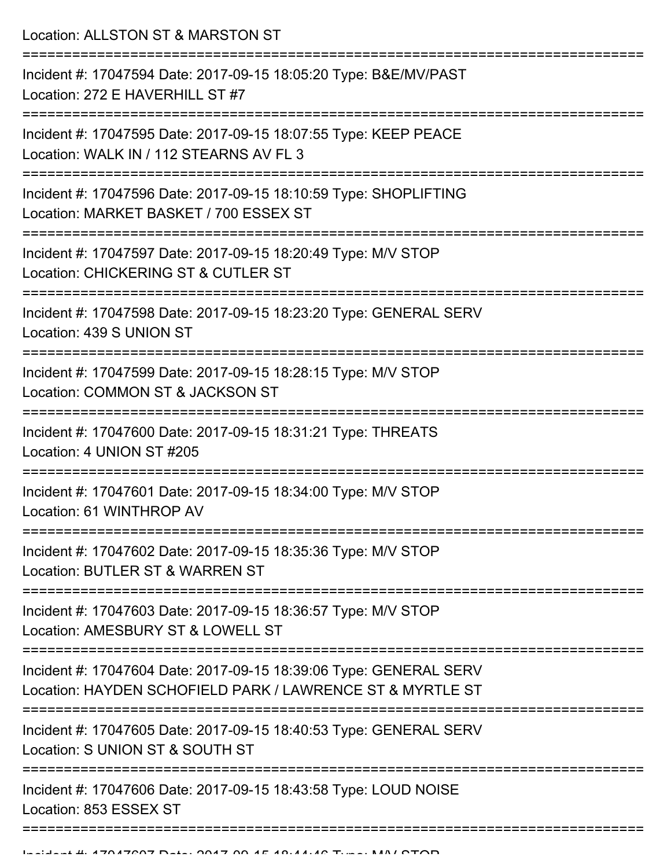Location: ALLSTON ST & MARSTON ST

| Incident #: 17047594 Date: 2017-09-15 18:05:20 Type: B&E/MV/PAST<br>Location: 272 E HAVERHILL ST #7                            |
|--------------------------------------------------------------------------------------------------------------------------------|
| Incident #: 17047595 Date: 2017-09-15 18:07:55 Type: KEEP PEACE<br>Location: WALK IN / 112 STEARNS AV FL 3                     |
| Incident #: 17047596 Date: 2017-09-15 18:10:59 Type: SHOPLIFTING<br>Location: MARKET BASKET / 700 ESSEX ST                     |
| Incident #: 17047597 Date: 2017-09-15 18:20:49 Type: M/V STOP<br>Location: CHICKERING ST & CUTLER ST                           |
| Incident #: 17047598 Date: 2017-09-15 18:23:20 Type: GENERAL SERV<br>Location: 439 S UNION ST                                  |
| Incident #: 17047599 Date: 2017-09-15 18:28:15 Type: M/V STOP<br>Location: COMMON ST & JACKSON ST                              |
| Incident #: 17047600 Date: 2017-09-15 18:31:21 Type: THREATS<br>Location: 4 UNION ST #205                                      |
| Incident #: 17047601 Date: 2017-09-15 18:34:00 Type: M/V STOP<br>Location: 61 WINTHROP AV                                      |
| Incident #: 17047602 Date: 2017-09-15 18:35:36 Type: M/V STOP<br>Location: BUTLER ST & WARREN ST                               |
| Incident #: 17047603 Date: 2017-09-15 18:36:57 Type: M/V STOP<br>Location: AMESBURY ST & LOWELL ST                             |
| Incident #: 17047604 Date: 2017-09-15 18:39:06 Type: GENERAL SERV<br>Location: HAYDEN SCHOFIELD PARK / LAWRENCE ST & MYRTLE ST |
| Incident #: 17047605 Date: 2017-09-15 18:40:53 Type: GENERAL SERV<br>Location: S UNION ST & SOUTH ST                           |
| Incident #: 17047606 Date: 2017-09-15 18:43:58 Type: LOUD NOISE<br>Location: 853 ESSEX ST                                      |
|                                                                                                                                |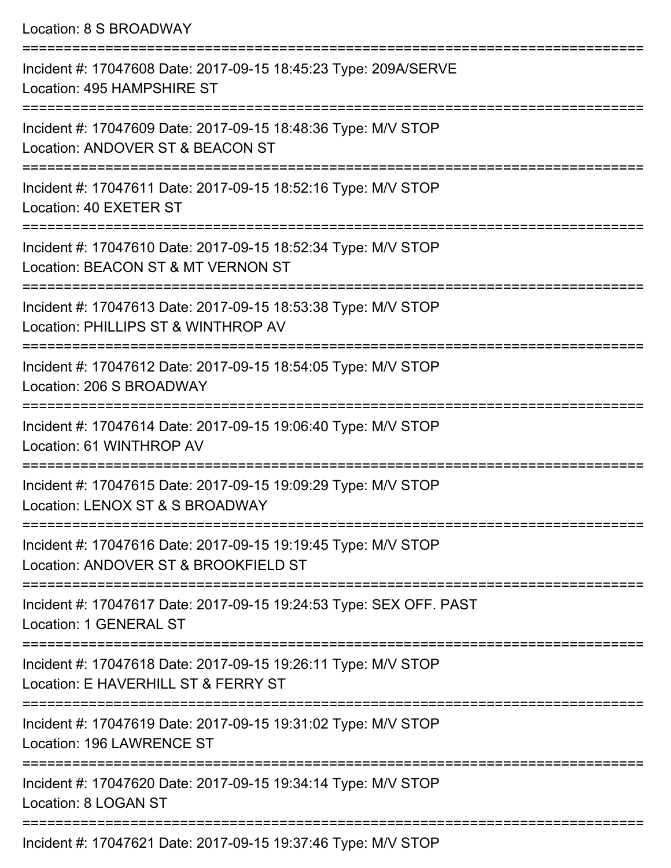Location: 8 S BROADWAY =========================================================================== Incident #: 17047608 Date: 2017-09-15 18:45:23 Type: 209A/SERVE Location: 495 HAMPSHIRE ST =========================================================================== Incident #: 17047609 Date: 2017-09-15 18:48:36 Type: M/V STOP Location: ANDOVER ST & BEACON ST =========================================================================== Incident #: 17047611 Date: 2017-09-15 18:52:16 Type: M/V STOP Location: 40 EXETER ST =========================================================================== Incident #: 17047610 Date: 2017-09-15 18:52:34 Type: M/V STOP Location: BEACON ST & MT VERNON ST =========================================================================== Incident #: 17047613 Date: 2017-09-15 18:53:38 Type: M/V STOP Location: PHILLIPS ST & WINTHROP AV =========================================================================== Incident #: 17047612 Date: 2017-09-15 18:54:05 Type: M/V STOP Location: 206 S BROADWAY =========================================================================== Incident #: 17047614 Date: 2017-09-15 19:06:40 Type: M/V STOP Location: 61 WINTHROP AV =========================================================================== Incident #: 17047615 Date: 2017-09-15 19:09:29 Type: M/V STOP Location: LENOX ST & S BROADWAY =========================================================================== Incident #: 17047616 Date: 2017-09-15 19:19:45 Type: M/V STOP Location: ANDOVER ST & BROOKFIELD ST =========================================================================== Incident #: 17047617 Date: 2017-09-15 19:24:53 Type: SEX OFF. PAST Location: 1 GENERAL ST =========================================================================== Incident #: 17047618 Date: 2017-09-15 19:26:11 Type: M/V STOP Location: F HAVERHILL ST & FERRY ST =========================================================================== Incident #: 17047619 Date: 2017-09-15 19:31:02 Type: M/V STOP Location: 196 LAWRENCE ST =========================================================================== Incident #: 17047620 Date: 2017-09-15 19:34:14 Type: M/V STOP Location: 8 LOGAN ST ===========================================================================

Incident #: 17047621 Date: 2017-09-15 19:37:46 Type: M/V STOP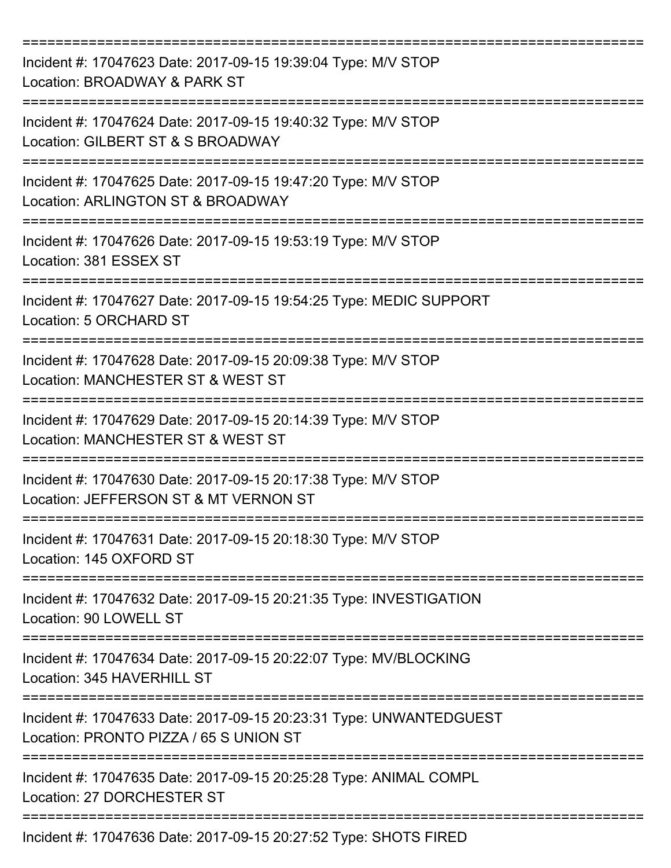| Incident #: 17047623 Date: 2017-09-15 19:39:04 Type: M/V STOP<br>Location: BROADWAY & PARK ST                |
|--------------------------------------------------------------------------------------------------------------|
| Incident #: 17047624 Date: 2017-09-15 19:40:32 Type: M/V STOP<br>Location: GILBERT ST & S BROADWAY           |
| Incident #: 17047625 Date: 2017-09-15 19:47:20 Type: M/V STOP<br>Location: ARLINGTON ST & BROADWAY           |
| Incident #: 17047626 Date: 2017-09-15 19:53:19 Type: M/V STOP<br>Location: 381 ESSEX ST                      |
| Incident #: 17047627 Date: 2017-09-15 19:54:25 Type: MEDIC SUPPORT<br>Location: 5 ORCHARD ST                 |
| Incident #: 17047628 Date: 2017-09-15 20:09:38 Type: M/V STOP<br>Location: MANCHESTER ST & WEST ST           |
| Incident #: 17047629 Date: 2017-09-15 20:14:39 Type: M/V STOP<br>Location: MANCHESTER ST & WEST ST           |
| Incident #: 17047630 Date: 2017-09-15 20:17:38 Type: M/V STOP<br>Location: JEFFERSON ST & MT VERNON ST       |
| Incident #: 17047631 Date: 2017-09-15 20:18:30 Type: M/V STOP<br>Location: 145 OXFORD ST                     |
| Incident #: 17047632 Date: 2017-09-15 20:21:35 Type: INVESTIGATION<br>Location: 90 LOWELL ST                 |
| Incident #: 17047634 Date: 2017-09-15 20:22:07 Type: MV/BLOCKING<br>Location: 345 HAVERHILL ST               |
| Incident #: 17047633 Date: 2017-09-15 20:23:31 Type: UNWANTEDGUEST<br>Location: PRONTO PIZZA / 65 S UNION ST |
| Incident #: 17047635 Date: 2017-09-15 20:25:28 Type: ANIMAL COMPL<br>Location: 27 DORCHESTER ST              |
| Incident #: 17047636 Date: 2017-09-15 20:27:52 Type: SHOTS FIRED                                             |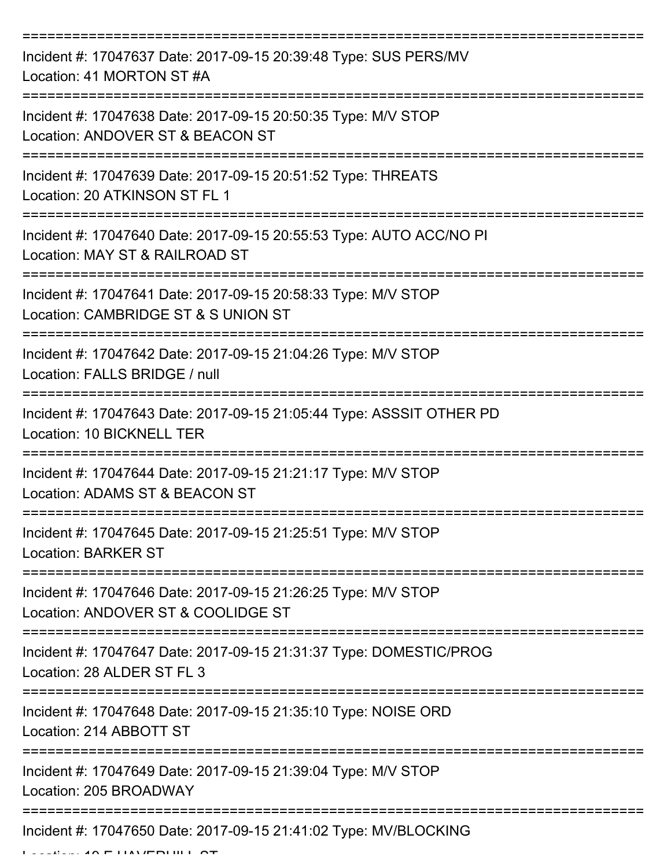| Incident #: 17047637 Date: 2017-09-15 20:39:48 Type: SUS PERS/MV<br>Location: 41 MORTON ST #A                                    |
|----------------------------------------------------------------------------------------------------------------------------------|
| Incident #: 17047638 Date: 2017-09-15 20:50:35 Type: M/V STOP<br>Location: ANDOVER ST & BEACON ST                                |
| Incident #: 17047639 Date: 2017-09-15 20:51:52 Type: THREATS<br>Location: 20 ATKINSON ST FL 1                                    |
| Incident #: 17047640 Date: 2017-09-15 20:55:53 Type: AUTO ACC/NO PI<br>Location: MAY ST & RAILROAD ST                            |
| Incident #: 17047641 Date: 2017-09-15 20:58:33 Type: M/V STOP<br>Location: CAMBRIDGE ST & S UNION ST<br>======================== |
| Incident #: 17047642 Date: 2017-09-15 21:04:26 Type: M/V STOP<br>Location: FALLS BRIDGE / null                                   |
| Incident #: 17047643 Date: 2017-09-15 21:05:44 Type: ASSSIT OTHER PD<br>Location: 10 BICKNELL TER                                |
| Incident #: 17047644 Date: 2017-09-15 21:21:17 Type: M/V STOP<br>Location: ADAMS ST & BEACON ST                                  |
| Incident #: 17047645 Date: 2017-09-15 21:25:51 Type: M/V STOP<br><b>Location: BARKER ST</b>                                      |
| Incident #: 17047646 Date: 2017-09-15 21:26:25 Type: M/V STOP<br>Location: ANDOVER ST & COOLIDGE ST                              |
| Incident #: 17047647 Date: 2017-09-15 21:31:37 Type: DOMESTIC/PROG<br>Location: 28 ALDER ST FL 3                                 |
| Incident #: 17047648 Date: 2017-09-15 21:35:10 Type: NOISE ORD<br>Location: 214 ABBOTT ST                                        |
| Incident #: 17047649 Date: 2017-09-15 21:39:04 Type: M/V STOP<br>Location: 205 BROADWAY                                          |
| Incident #: 17047650 Date: 2017-09-15 21:41:02 Type: MV/BLOCKING                                                                 |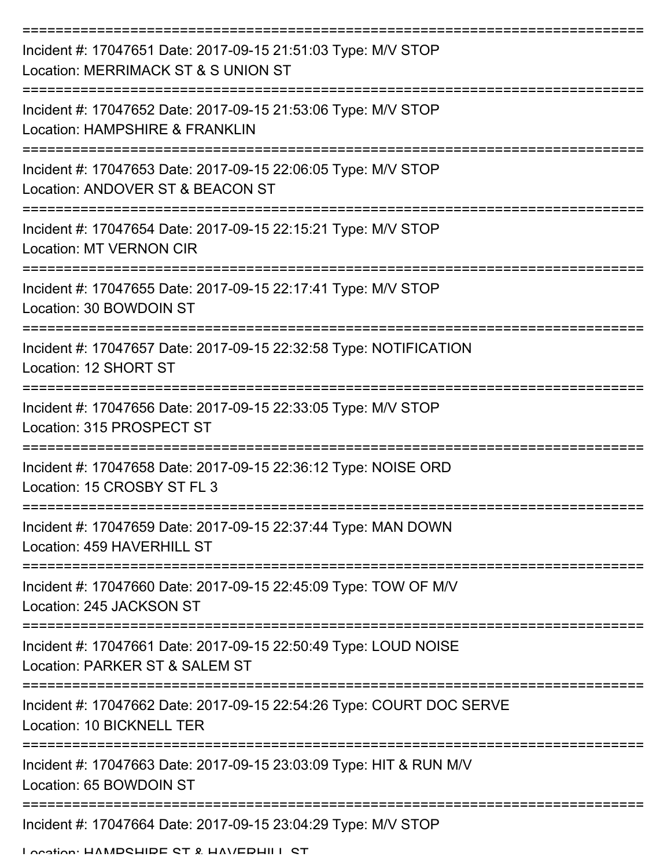| Incident #: 17047651 Date: 2017-09-15 21:51:03 Type: M/V STOP<br>Location: MERRIMACK ST & S UNION ST |
|------------------------------------------------------------------------------------------------------|
| Incident #: 17047652 Date: 2017-09-15 21:53:06 Type: M/V STOP<br>Location: HAMPSHIRE & FRANKLIN      |
| Incident #: 17047653 Date: 2017-09-15 22:06:05 Type: M/V STOP<br>Location: ANDOVER ST & BEACON ST    |
| Incident #: 17047654 Date: 2017-09-15 22:15:21 Type: M/V STOP<br><b>Location: MT VERNON CIR</b>      |
| Incident #: 17047655 Date: 2017-09-15 22:17:41 Type: M/V STOP<br>Location: 30 BOWDOIN ST             |
| Incident #: 17047657 Date: 2017-09-15 22:32:58 Type: NOTIFICATION<br>Location: 12 SHORT ST           |
| Incident #: 17047656 Date: 2017-09-15 22:33:05 Type: M/V STOP<br>Location: 315 PROSPECT ST           |
| Incident #: 17047658 Date: 2017-09-15 22:36:12 Type: NOISE ORD<br>Location: 15 CROSBY ST FL 3        |
| Incident #: 17047659 Date: 2017-09-15 22:37:44 Type: MAN DOWN<br>Location: 459 HAVERHILL ST          |
| Incident #: 17047660 Date: 2017-09-15 22:45:09 Type: TOW OF M/V<br>Location: 245 JACKSON ST          |
| Incident #: 17047661 Date: 2017-09-15 22:50:49 Type: LOUD NOISE<br>Location: PARKER ST & SALEM ST    |
| Incident #: 17047662 Date: 2017-09-15 22:54:26 Type: COURT DOC SERVE<br>Location: 10 BICKNELL TER    |
| Incident #: 17047663 Date: 2017-09-15 23:03:09 Type: HIT & RUN M/V<br>Location: 65 BOWDOIN ST        |
| Incident #: 17047664 Date: 2017-09-15 23:04:29 Type: M/V STOP                                        |

Location: HAMPSHIPE ST & HAVERHILL ST